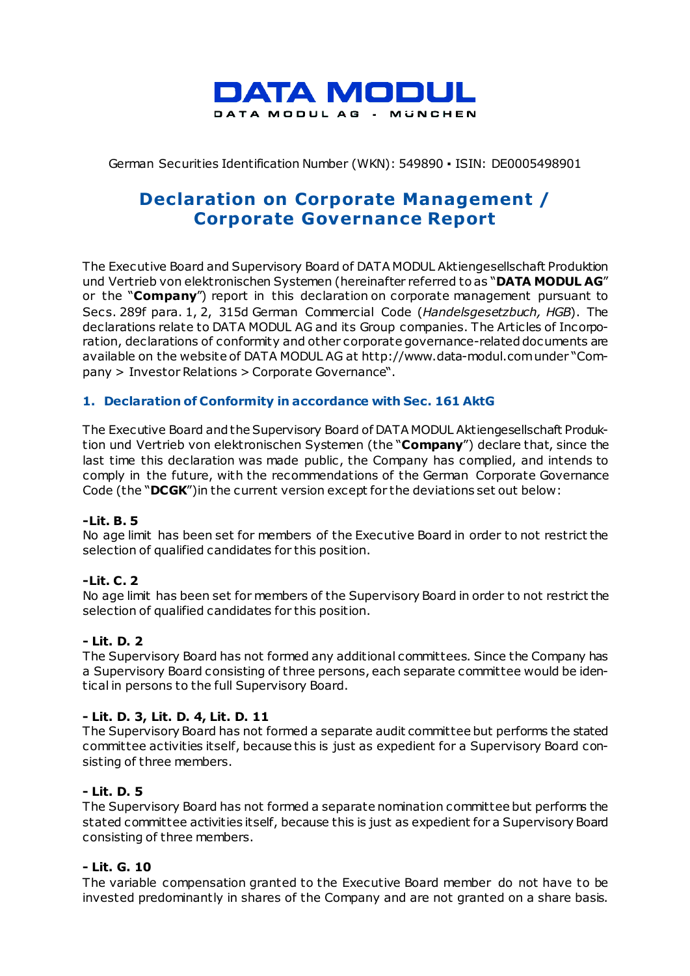

### German Securities Identification Number (WKN): 549890 ▪ ISIN: DE0005498901

# **Declaration on Corporate Management / Corporate Governance Report**

The Executive Board and Supervisory Board of DATA MODUL Aktiengesellschaft Produktion und Vertrieb von elektronischen Systemen (hereinafter referred to as "**DATA MODUL AG**" or the "**Company**") report in this declaration on corporate management pursuant to Secs. 289f para. 1, 2, 315d German Commercial Code (*Handelsgesetzbuch, HGB*). The declarations relate to DATA MODUL AG and its Group companies. The Articles of Incorporation, declarations of conformity and other corporate governance-related documents are available on the website of DATA MODUL AG at http://www.data-modul.com under "Company > Investor Relations > Corporate Governance".

### **1. Declaration of Conformity in accordance with Sec. 161 AktG**

The Executive Board and the Supervisory Board of DATA MODUL Aktiengesellschaft Produktion und Vertrieb von elektronischen Systemen (the "**Company**") declare that, since the last time this declaration was made public , the Company has complied, and intends to comply in the future, with the recommendations of the German Corporate Governance Code (the "**DCGK**")in the current version except for the deviations set out below:

### **-Lit. B. 5**

No age limit has been set for members of the Executive Board in order to not restrict the selection of qualified candidates for this position.

### **-Lit. C. 2**

No age limit has been set for members of the Supervisory Board in order to not restrict the selection of qualified candidates for this position.

#### **- Lit. D. 2**

The Supervisory Board has not formed any additional committees. Since the Company has a Supervisory Board consisting of three persons, each separate committee would be identical in persons to the full Supervisory Board.

#### **- Lit. D. 3, Lit. D. 4, Lit. D. 11**

The Supervisory Board has not formed a separate audit committee but performs the stated committee activities itself, because this is just as expedient for a Supervisory Board consisting of three members.

#### **- Lit. D. 5**

The Supervisory Board has not formed a separate nomination committee but performs the stated committee activities itself, because this is just as expedient for a Supervisory Board consisting of three members.

#### **- Lit. G. 10**

The variable compensation granted to the Executive Board member do not have to be invested predominantly in shares of the Company and are not granted on a share basis.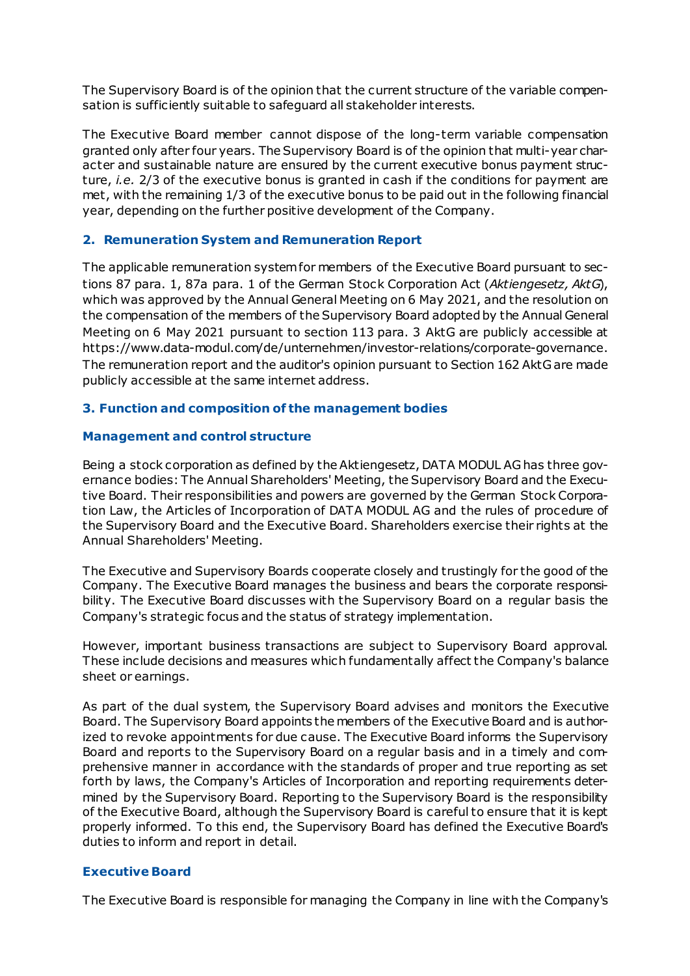The Supervisory Board is of the opinion that the current structure of the variable compensation is sufficiently suitable to safeguard all stakeholder interests.

The Executive Board member cannot dispose of the long-term variable compensation granted only after four years. The Supervisory Board is of the opinion that multi-year character and sustainable nature are ensured by the current executive bonus payment structure, *i.e.* 2/3 of the executive bonus is granted in cash if the conditions for payment are met, with the remaining 1/3 of the executive bonus to be paid out in the following financial year, depending on the further positive development of the Company.

### **2. Remuneration System and Remuneration Report**

The applicable remuneration system for members of the Executive Board pursuant to sections 87 para. 1, 87a para. 1 of the German Stock Corporation Act (*Aktiengesetz, AktG*), which was approved by the Annual General Meeting on 6 May 2021, and the resolution on the compensation of the members of the Supervisory Board adopted by the Annual General Meeting on 6 May 2021 pursuant to section 113 para. 3 AktG are publicly accessible at https://www.data-modul.com/de/unternehmen/investor-relations/corporate-governance. The remuneration report and the auditor's opinion pursuant to Section 162 AktG are made publicly accessible at the same internet address.

### **3. Function and composition of the management bodies**

### **Management and control structure**

Being a stock corporation as defined by the Aktiengesetz, DATA MODUL AG has three governance bodies: The Annual Shareholders' Meeting, the Supervisory Board and the Executive Board. Their responsibilities and powers are governed by the German Stock Corporation Law, the Articles of Incorporation of DATA MODUL AG and the rules of procedure of the Supervisory Board and the Executive Board. Shareholders exercise their rights at the Annual Shareholders' Meeting.

The Executive and Supervisory Boards cooperate closely and trustingly for the good of the Company. The Executive Board manages the business and bears the corporate responsibility. The Executive Board discusses with the Supervisory Board on a regular basis the Company's strategic focus and the status of strategy implementation.

However, important business transactions are subject to Supervisory Board approval. These include decisions and measures which fundamentally affect the Company's balance sheet or earnings.

As part of the dual system, the Supervisory Board advises and monitors the Executive Board. The Supervisory Board appoints the members of the Executive Board and is authorized to revoke appointments for due cause. The Executive Board informs the Supervisory Board and reports to the Supervisory Board on a regular basis and in a timely and comprehensive manner in accordance with the standards of proper and true reporting as set forth by laws, the Company's Articles of Incorporation and reporting requirements determined by the Supervisory Board. Reporting to the Supervisory Board is the responsibility of the Executive Board, although the Supervisory Board is careful to ensure that it is kept properly informed. To this end, the Supervisory Board has defined the Executive Board's duties to inform and report in detail.

### **Executive Board**

The Executive Board is responsible for managing the Company in line with the Company's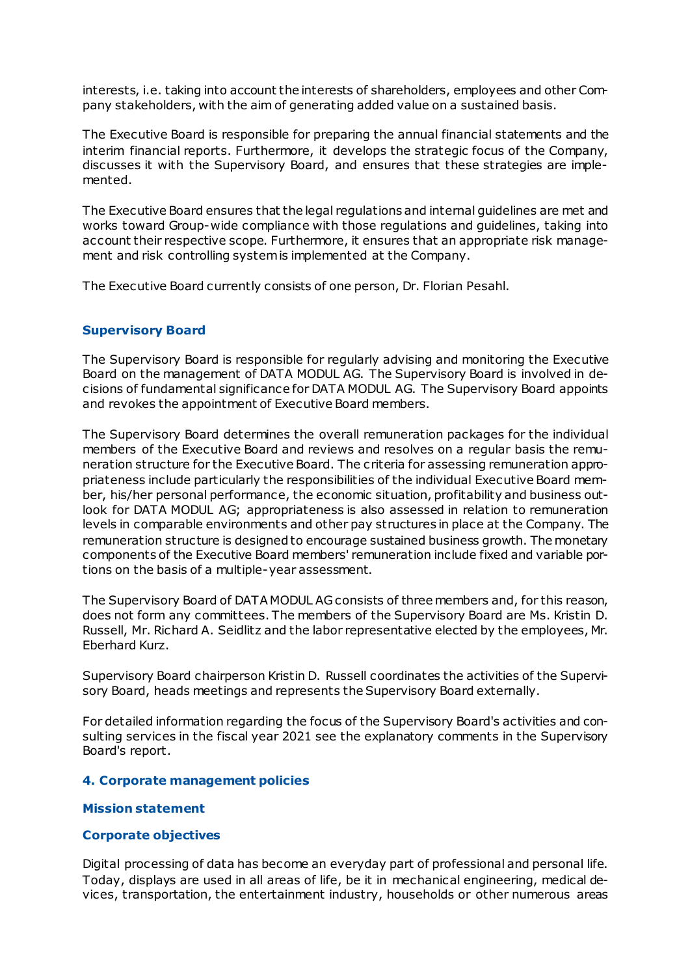interests, i.e. taking into account the interests of shareholders, employees and other Company stakeholders, with the aim of generating added value on a sustained basis.

The Executive Board is responsible for preparing the annual financial statements and the interim financial reports. Furthermore, it develops the strategic focus of the Company, discusses it with the Supervisory Board, and ensures that these strategies are implemented.

The Executive Board ensures that the legal regulations and internal guidelines are met and works toward Group-wide compliance with those regulations and guidelines, taking into account their respective scope. Furthermore, it ensures that an appropriate risk management and risk controlling system is implemented at the Company.

The Executive Board currently consists of one person, Dr. Florian Pesahl.

### **Supervisory Board**

The Supervisory Board is responsible for regularly advising and monitoring the Executive Board on the management of DATA MODUL AG. The Supervisory Board is involved in decisions of fundamental significance for DATA MODUL AG. The Supervisory Board appoints and revokes the appointment of Executive Board members.

The Supervisory Board determines the overall remuneration packages for the individual members of the Executive Board and reviews and resolves on a regular basis the remuneration structure for the Executive Board. The criteria for assessing remuneration appropriateness include particularly the responsibilities of the individual Executive Board member, his/her personal performance, the economic situation, profitability and business outlook for DATA MODUL AG; appropriateness is also assessed in relation to remuneration levels in comparable environments and other pay structures in place at the Company. The remuneration structure is designed to encourage sustained business growth. The monetary components of the Executive Board members' remuneration include fixed and variable portions on the basis of a multiple-year assessment.

The Supervisory Board of DATA MODUL AG consists of three members and, for this reason, does not form any committees. The members of the Supervisory Board are Ms. Kristin D. Russell, Mr. Richard A. Seidlitz and the labor representative elected by the employees, Mr. Eberhard Kurz.

Supervisory Board chairperson Kristin D. Russell coordinates the activities of the Supervisory Board, heads meetings and represents the Supervisory Board externally.

For detailed information regarding the focus of the Supervisory Board's activities and consulting services in the fiscal year 2021 see the explanatory comments in the Supervisory Board's report.

### **4. Corporate management policies**

### **Mission statement**

### **Corporate objectives**

Digital processing of data has become an everyday part of professional and personal life. Today, displays are used in all areas of life, be it in mechanical engineering, medical devices, transportation, the entertainment industry, households or other numerous areas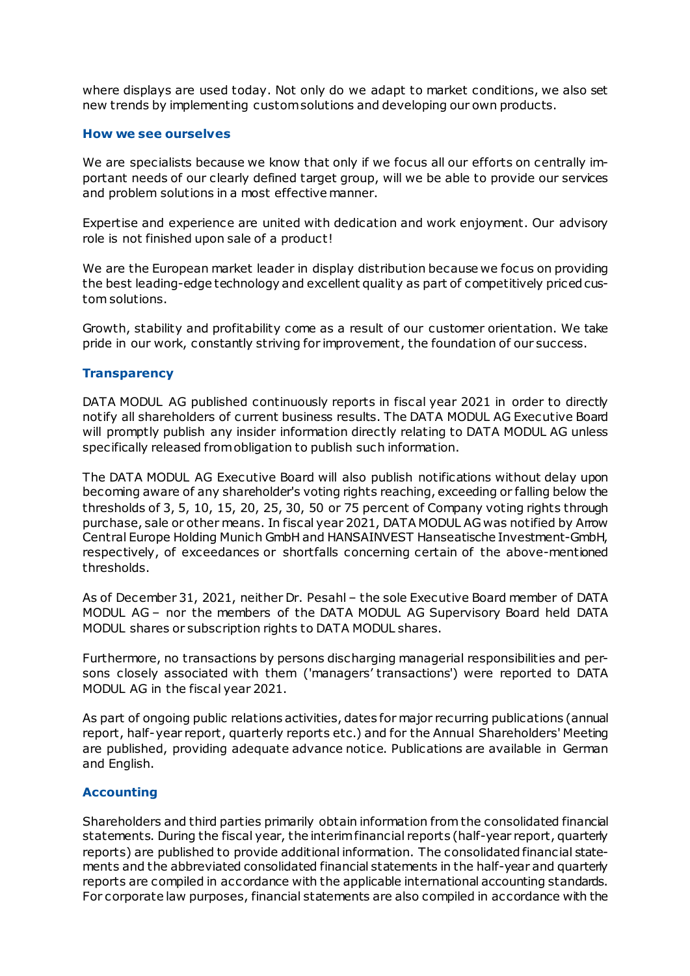where displays are used today. Not only do we adapt to market conditions, we also set new trends by implementing custom solutions and developing our own products.

#### **How we see ourselves**

We are specialists because we know that only if we focus all our efforts on centrally important needs of our clearly defined target group, will we be able to provide our services and problem solutions in a most effective manner.

Expertise and experience are united with dedication and work enjoyment. Our advisory role is not finished upon sale of a product!

We are the European market leader in display distribution because we focus on providing the best leading-edge technology and excellent quality as part of competitively priced custom solutions.

Growth, stability and profitability come as a result of our customer orientation. We take pride in our work, constantly striving for improvement, the foundation of our success.

#### **Transparency**

DATA MODUL AG published continuously reports in fiscal year 2021 in order to directly notify all shareholders of current business results. The DATA MODUL AG Executive Board will promptly publish any insider information directly relating to DATA MODUL AG unless specifically released from obligation to publish such information.

The DATA MODUL AG Executive Board will also publish notifications without delay upon becoming aware of any shareholder's voting rights reaching, exceeding or falling below the thresholds of 3, 5, 10, 15, 20, 25, 30, 50 or 75 percent of Company voting rights through purchase, sale or other means. In fiscal year 2021, DATA MODUL AG was notified by Arrow Central Europe Holding Munich GmbH and HANSAINVEST Hanseatische Investment-GmbH, respectively, of exceedances or shortfalls concerning certain of the above-mentioned thresholds.

As of December 31, 2021, neither Dr. Pesahl – the sole Executive Board member of DATA MODUL AG – nor the members of the DATA MODUL AG Supervisory Board held DATA MODUL shares or subscription rights to DATA MODUL shares.

Furthermore, no transactions by persons discharging managerial responsibilities and persons closely associated with them ('managers' transactions') were reported to DATA MODUL AG in the fiscal year 2021.

As part of ongoing public relations activities, dates for major recurring publications (annual report, half-year report, quarterly reports etc.) and for the Annual Shareholders' Meeting are published, providing adequate advance notice. Publications are available in German and English.

#### **Accounting**

Shareholders and third parties primarily obtain information from the consolidated financial statements. During the fiscal year, the interim financial reports (half-year report, quarterly reports) are published to provide additional information. The consolidated financial statements and the abbreviated consolidated financial statements in the half-year and quarterly reports are compiled in accordance with the applicable international accounting standards. For corporate law purposes, financial statements are also compiled in accordance with the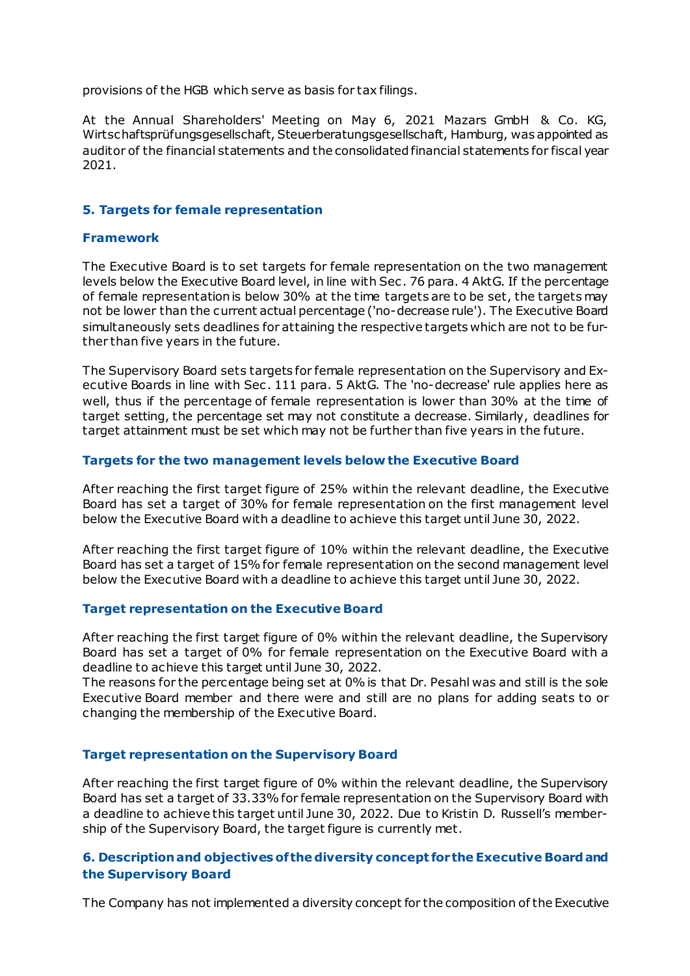provisions of the HGB which serve as basis for tax filings.

At the Annual Shareholders' Meeting on May 6, 2021 Mazars GmbH & Co. KG, Wirtschaftsprüfungsgesellschaft, Steuerberatungsgesellschaft, Hamburg, was appointed as auditor of the financial statements and the consolidated financial statements for fiscal year 2021.

### **5. Targets for female representation**

### **Framework**

The Executive Board is to set targets for female representation on the two management levels below the Executive Board level, in line with Sec. 76 para. 4 AktG. If the percentage of female representation is below 30% at the time targets are to be set, the targets may not be lower than the current actual percentage ('no-decrease rule'). The Executive Board simultaneously sets deadlines for attaining the respective targets which are not to be further than five years in the future.

The Supervisory Board sets targets for female representation on the Supervisory and Executive Boards in line with Sec . 111 para. 5 AktG. The 'no-decrease' rule applies here as well, thus if the percentage of female representation is lower than 30% at the time of target setting, the percentage set may not constitute a decrease. Similarly, deadlines for target attainment must be set which may not be further than five years in the future.

### **Targets for the two management levels below the Executive Board**

After reaching the first target figure of 25% within the relevant deadline, the Executive Board has set a target of 30% for female representation on the first management level below the Executive Board with a deadline to achieve this target until June 30, 2022.

After reaching the first target figure of 10% within the relevant deadline, the Executive Board has set a target of 15% for female representation on the second management level below the Executive Board with a deadline to achieve this target until June 30, 2022.

### **Target representation on the Executive Board**

After reaching the first target figure of 0% within the relevant deadline, the Supervisory Board has set a target of 0% for female representation on the Executive Board with a deadline to achieve this target until June 30, 2022.

The reasons for the percentage being set at 0% is that Dr. Pesahl was and still is the sole Executive Board member and there were and still are no plans for adding seats to or changing the membership of the Executive Board.

### **Target representation on the Supervisory Board**

After reaching the first target figure of 0% within the relevant deadline, the Supervisory Board has set a target of 33.33% for female representation on the Supervisory Board with a deadline to achieve this target until June 30, 2022. Due to Kristin D. Russell's membership of the Supervisory Board, the target figure is currently met.

# **6. Description and objectives of the diversity concept for the Executive Board and the Supervisory Board**

The Company has not implemented a diversity concept for the composition of the Executive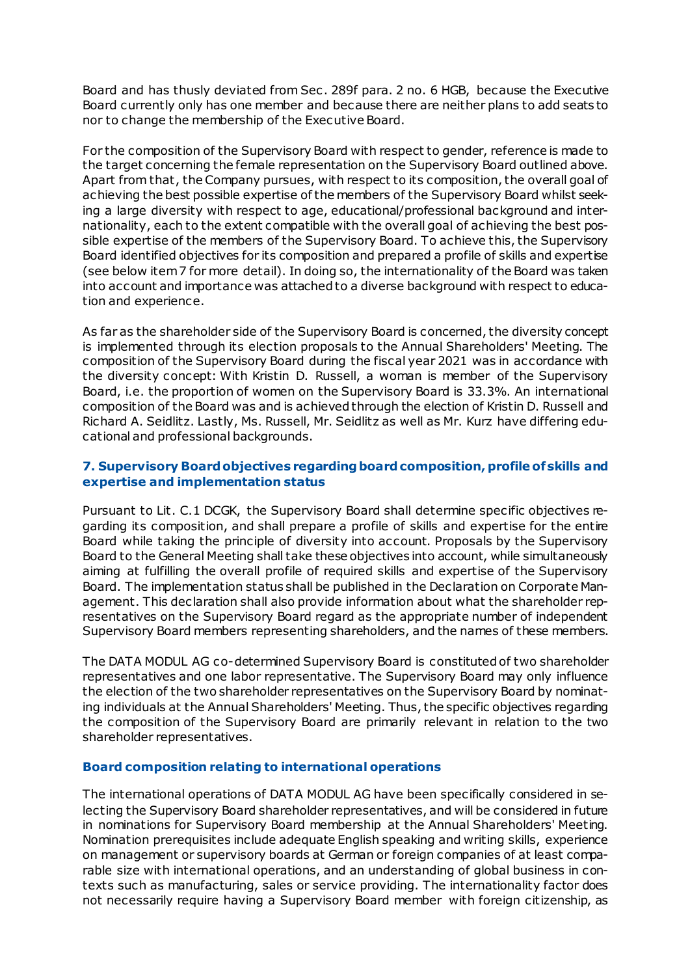Board and has thusly deviated from Sec . 289f para. 2 no. 6 HGB, because the Executive Board currently only has one member and because there are neither plans to add seats to nor to change the membership of the Executive Board.

For the composition of the Supervisory Board with respect to gender, reference is made to the target concerning the female representation on the Supervisory Board outlined above. Apart from that, the Company pursues, with respect to its composition, the overall goal of achieving the best possible expertise of the members of the Supervisory Board whilst seeking a large diversity with respect to age, educational/professional background and internationality, each to the extent compatible with the overall goal of achieving the best possible expertise of the members of the Supervisory Board. To achieve this, the Supervisory Board identified objectives for its composition and prepared a profile of skills and expertise (see below item 7 for more detail). In doing so, the internationality of the Board was taken into account and importance was attached to a diverse background with respect to education and experience.

As far as the shareholder side of the Supervisory Board is concerned, the diversity concept is implemented through its election proposals to the Annual Shareholders' Meeting. The composition of the Supervisory Board during the fiscal year 2021 was in accordance with the diversity concept: With Kristin D. Russell, a woman is member of the Supervisory Board, i.e. the proportion of women on the Supervisory Board is 33.3%. An international composition of the Board was and is achieved through the election of Kristin D. Russell and Richard A. Seidlitz. Lastly, Ms. Russell, Mr. Seidlitz as well as Mr. Kurz have differing educational and professional backgrounds.

# **7. Supervisory Board objectives regarding board composition, profile of skills and expertise and implementation status**

Pursuant to Lit. C.1 DCGK, the Supervisory Board shall determine specific objectives regarding its composition, and shall prepare a profile of skills and expertise for the entire Board while taking the principle of diversity into account. Proposals by the Supervisory Board to the General Meeting shall take these objectives into account, while simultaneously aiming at fulfilling the overall profile of required skills and expertise of the Supervisory Board. The implementation status shall be published in the Declaration on Corporate Management. This declaration shall also provide information about what the shareholder representatives on the Supervisory Board regard as the appropriate number of independent Supervisory Board members representing shareholders, and the names of these members.

The DATA MODUL AG co-determined Supervisory Board is constituted of two shareholder representatives and one labor representative. The Supervisory Board may only influence the election of the two shareholder representatives on the Supervisory Board by nominating individuals at the Annual Shareholders' Meeting. Thus, the specific objectives regarding the composition of the Supervisory Board are primarily relevant in relation to the two shareholder representatives.

### **Board composition relating to international operations**

The international operations of DATA MODUL AG have been specifically considered in selecting the Supervisory Board shareholder representatives, and will be considered in future in nominations for Supervisory Board membership at the Annual Shareholders' Meeting. Nomination prerequisites include adequate English speaking and writing skills, experience on management or supervisory boards at German or foreign companies of at least comparable size with international operations, and an understanding of global business in contexts such as manufacturing, sales or service providing. The internationality factor does not necessarily require having a Supervisory Board member with foreign citizenship, as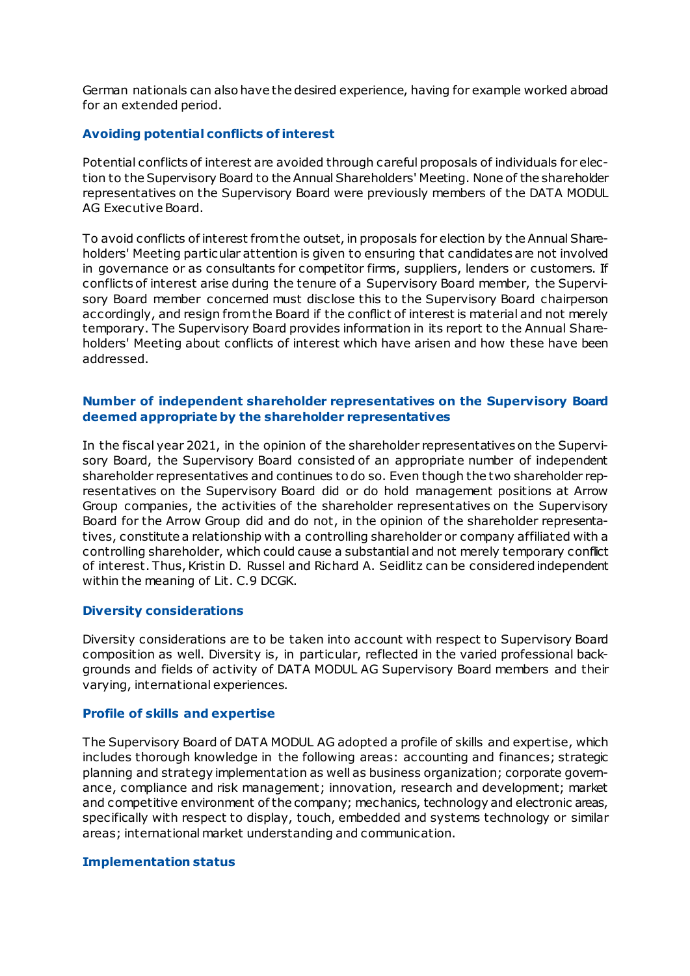German nationals can also have the desired experience, having for example worked abroad for an extended period.

### **Avoiding potential conflicts of interest**

Potential conflicts of interest are avoided through careful proposals of individuals for election to the Supervisory Board to the Annual Shareholders' Meeting. None of the shareholder representatives on the Supervisory Board were previously members of the DATA MODUL AG Executive Board.

To avoid conflicts of interest from the outset, in proposals for election by the Annual Shareholders' Meeting particular attention is given to ensuring that candidates are not involved in governance or as consultants for competitor firms, suppliers, lenders or customers. If conflicts of interest arise during the tenure of a Supervisory Board member, the Supervisory Board member concerned must disclose this to the Supervisory Board chairperson accordingly, and resign from the Board if the conflict of interest is material and not merely temporary. The Supervisory Board provides information in its report to the Annual Shareholders' Meeting about conflicts of interest which have arisen and how these have been addressed.

### **Number of independent shareholder representatives on the Supervisory Board deemed appropriate by the shareholder representatives**

In the fiscal year 2021, in the opinion of the shareholder representatives on the Supervisory Board, the Supervisory Board consisted of an appropriate number of independent shareholder representatives and continues to do so. Even though the two shareholder representatives on the Supervisory Board did or do hold management positions at Arrow Group companies, the activities of the shareholder representatives on the Supervisory Board for the Arrow Group did and do not, in the opinion of the shareholder representatives, constitute a relationship with a controlling shareholder or company affiliated with a controlling shareholder, which could cause a substantial and not merely temporary conflict of interest. Thus, Kristin D. Russel and Richard A. Seidlitz can be considered independent within the meaning of Lit. C.9 DCGK.

#### **Diversity considerations**

Diversity considerations are to be taken into account with respect to Supervisory Board composition as well. Diversity is, in particular, reflected in the varied professional backgrounds and fields of activity of DATA MODUL AG Supervisory Board members and their varying, international experiences.

#### **Profile of skills and expertise**

The Supervisory Board of DATA MODUL AG adopted a profile of skills and expertise, which includes thorough knowledge in the following areas: accounting and finances; strategic planning and strategy implementation as well as business organization; corporate governance, compliance and risk management; innovation, research and development; market and competitive environment of the company; mechanics, technology and electronic areas, specifically with respect to display, touch, embedded and systems technology or similar areas; international market understanding and communication.

#### **Implementation status**